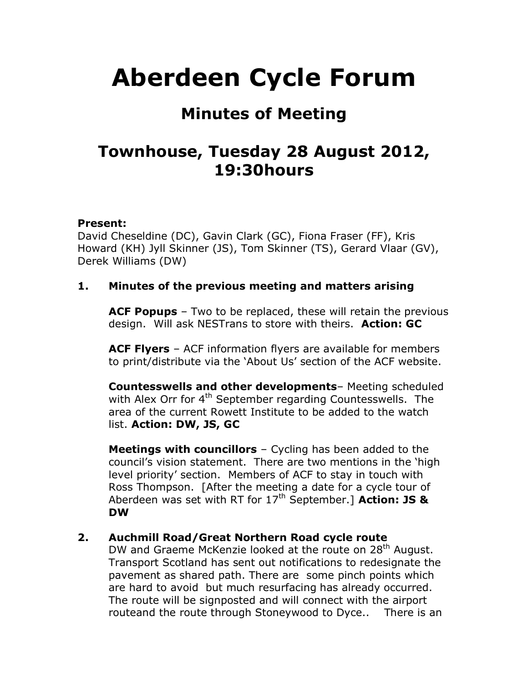# **Aberdeen Cycle Forum**

# **Minutes of Meeting**

# **Townhouse, Tuesday 28 August 2012, 19:30hours**

#### **Present:**

David Cheseldine (DC), Gavin Clark (GC), Fiona Fraser (FF), Kris Howard (KH) Jyll Skinner (JS), Tom Skinner (TS), Gerard Vlaar (GV), Derek Williams (DW)

#### **1. Minutes of the previous meeting and matters arising**

**ACF Popups** – Two to be replaced, these will retain the previous design. Will ask NESTrans to store with theirs. **Action: GC**

**ACF Flyers** – ACF information flyers are available for members to print/distribute via the 'About Us' section of the ACF website.

**Countesswells and other developments**– Meeting scheduled with Alex Orr for 4<sup>th</sup> September regarding Countesswells. The area of the current Rowett Institute to be added to the watch list. **Action: DW, JS, GC**

**Meetings with councillors** – Cycling has been added to the council's vision statement. There are two mentions in the 'high level priority' section. Members of ACF to stay in touch with Ross Thompson. [After the meeting a date for a cycle tour of Aberdeen was set with RT for 17<sup>th</sup> September.] **Action: JS & DW**

#### **2. Auchmill Road/Great Northern Road cycle route**

DW and Graeme McKenzie looked at the route on 28<sup>th</sup> August. Transport Scotland has sent out notifications to redesignate the pavement as shared path. There are some pinch points which are hard to avoid but much resurfacing has already occurred. The route will be signposted and will connect with the airport routeand the route through Stoneywood to Dyce.. There is an